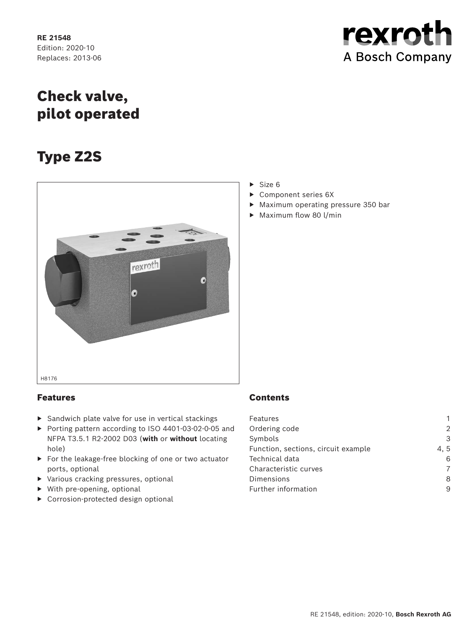**RE 21548** Edition: 2020-10 Replaces: 2013-06 rexroth A Bosch Company

# Check valve, pilot operated

# Type Z2S



# Features

- ▶ Sandwich plate valve for use in vertical stackings
- ▶ Porting pattern according to ISO 4401-03-02-0-05 and NFPA T3.5.1 R2-2002 D03 (**with** or **without** locating hole)
- ▶ For the leakage-free blocking of one or two actuator ports, optional
- ▶ Various cracking pressures, optional
- ▶ With pre-opening, optional
- ▶ Corrosion-protected design optional
- $\triangleright$  Size 6
- ▶ Component series 6X
- ▶ Maximum operating pressure 350 bar
- ▶ Maximum flow 80 l/min

# **Contents**

| Features                            |     |
|-------------------------------------|-----|
| Ordering code                       | 2   |
| Symbols                             | 3   |
| Function, sections, circuit example | 4.5 |
| Technical data                      | 6   |
| Characteristic curves               |     |
| Dimensions                          | 8   |
| Further information                 | 9   |
|                                     |     |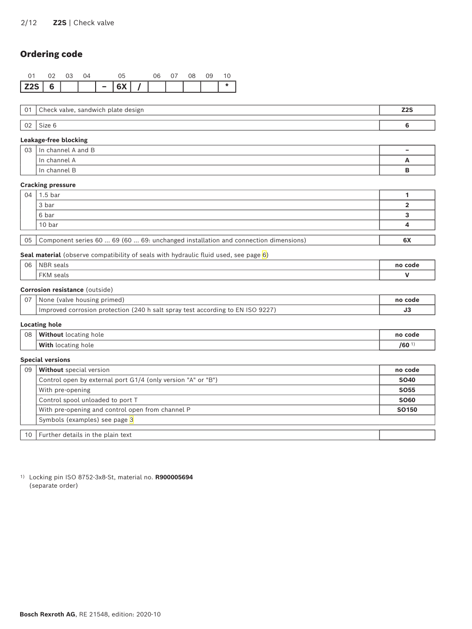# <span id="page-1-0"></span>Ordering code

|  |  | - | $ 6X $ / $ $ |    |     |     |    |  |
|--|--|---|--------------|----|-----|-----|----|--|
|  |  |   |              | በፍ | 07. | O8. | റാ |  |

| $\cup$ 1 | , check '<br>, sandwich plate design<br>valve. | 70c<br>445 |
|----------|------------------------------------------------|------------|
|          |                                                |            |
| ◡∠       | OILE                                           |            |

#### **Leakage-free blocking**

| 03 | In channel A and B | - |
|----|--------------------|---|
|    | In channel A       |   |
|    | ก channel B        |   |

#### **Cracking pressure**

| 04 | 1.5 bar                                                                               |    |
|----|---------------------------------------------------------------------------------------|----|
|    | 3 bar                                                                                 |    |
|    | 6 bar                                                                                 |    |
|    | 10 bar                                                                                |    |
|    |                                                                                       |    |
|    | 05 Component series 60  69 (60  69: unchanged installation and connection dimensions) | 6X |

#### **Seal material** (observe compatibility of seals with hydraulic fluid used, see page 6)

| 06 | <b>NBR</b><br>seals                                | no code |
|----|----------------------------------------------------|---------|
|    | $\Gamma$ $\Gamma$ $\Lambda$<br>seals<br><b>FKM</b> |         |

#### **Corrosion resistance** (outside)

| e (valve housing primed)<br>None                                               | no code |
|--------------------------------------------------------------------------------|---------|
| Improved corrosion protection (240 h salt spray test according to EN ISO 9227) |         |
|                                                                                |         |

#### **Locating hole**

| 08 | <b>Without</b><br>hole<br>locating | no code |
|----|------------------------------------|---------|
|    | With<br>, locating<br>hole         | /60     |

#### **Special versions**

| 09 | <b>Without</b> special version                               | no code      |
|----|--------------------------------------------------------------|--------------|
|    | Control open by external port G1/4 (only version "A" or "B") | <b>SO40</b>  |
|    | With pre-opening                                             | <b>SO55</b>  |
|    | Control spool unloaded to port T                             | <b>SO60</b>  |
|    | With pre-opening and control open from channel P             | <b>SO150</b> |
|    | Symbols (examples) see page 3                                |              |
|    |                                                              |              |
| 10 | Further details in the plain text                            |              |

1) Locking pin ISO 8752-3x8-St, material no. **R900005694** (separate order)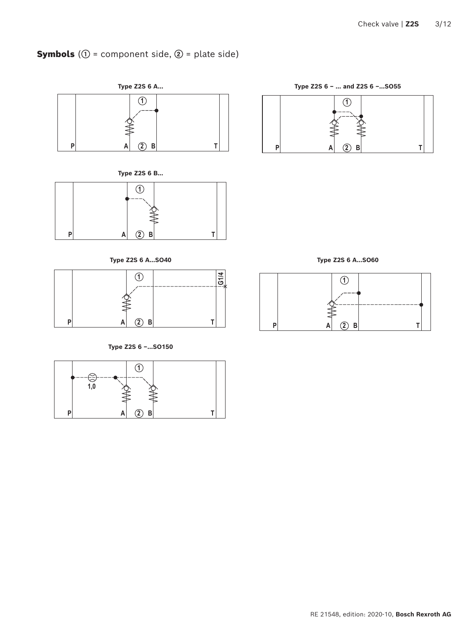# <span id="page-2-1"></span><span id="page-2-0"></span>Symbols (**①** = component side, **②** = plate side)







**Type Z2S 6 A…SO40 Type Z2S 6 A…SO60**



**Type Z2S 6 –…SO150**





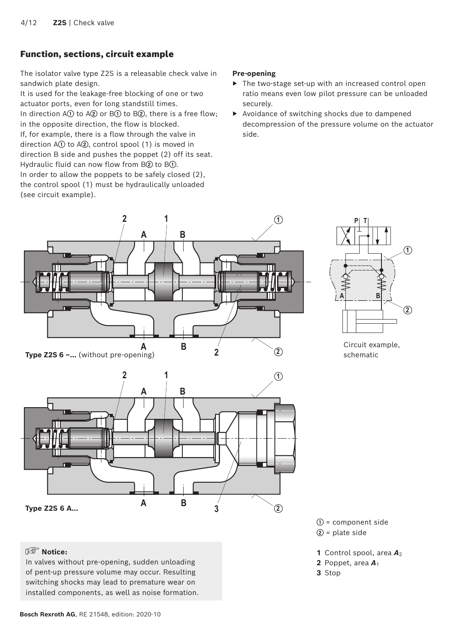# <span id="page-3-0"></span>Function, sections, circuit example

The isolator valve type Z2S is a releasable check valve in sandwich plate design.

It is used for the leakage-free blocking of one or two actuator ports, even for long standstill times. In direction A**①** to A**②** or B**①** to B**②**, there is a free flow; in the opposite direction, the flow is blocked. If, for example, there is a flow through the valve in direction A**①** to A**②**, control spool (1) is moved in direction B side and pushes the poppet (2) off its seat. Hydraulic fluid can now flow from B**②** to B**①**. In order to allow the poppets to be safely closed (2), the control spool (1) must be hydraulically unloaded (see circuit example).

#### **Pre-opening**

- ▶ The two-stage set-up with an increased control open ratio means even low pilot pressure can be unloaded securely.
- ▶ Avoidance of switching shocks due to dampened decompression of the pressure volume on the actuator side.





#### **Notice:**

In valves without pre-opening, sudden unloading of pent-up pressure volume may occur. Resulting switching shocks may lead to premature wear on installed components, as well as noise formation.



Circuit example, schematic

**①** = component side **②** = plate side

- **1** Control spool, area  $A_2$
- 2 Poppet, area  $A_1$
- **3** Stop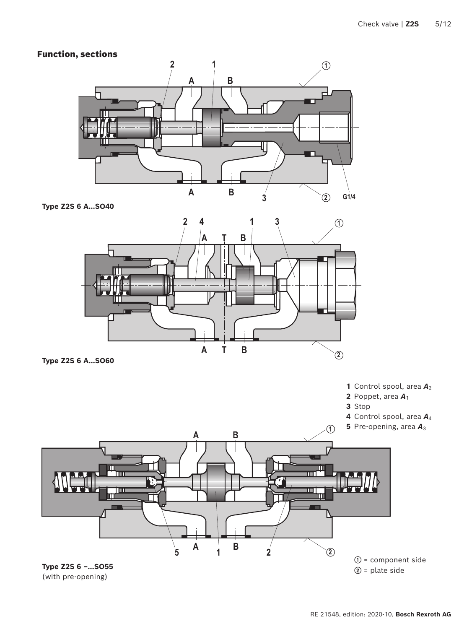# <span id="page-4-0"></span>Function, sections



**Type Z2S 6 A…SO40**



**Type Z2S 6 A…SO60**

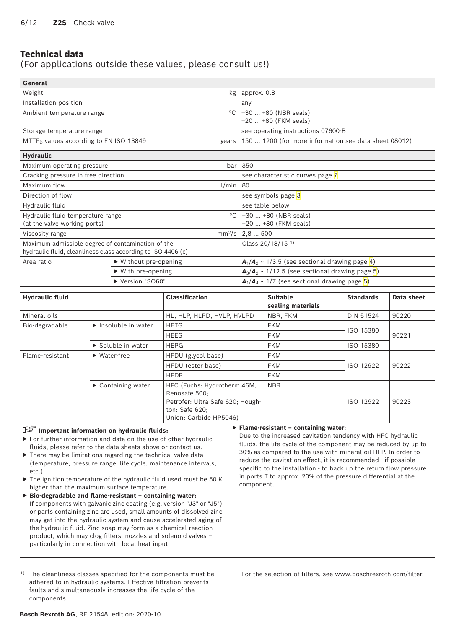# <span id="page-5-0"></span>Technical data

(For applications outside these values, please consult us!)

| General                                                      |                                      |                                                       |  |  |
|--------------------------------------------------------------|--------------------------------------|-------------------------------------------------------|--|--|
| Weight                                                       | kg                                   | approx. 0.8                                           |  |  |
| Installation position                                        |                                      | any                                                   |  |  |
| Ambient temperature range                                    | $^{\circ}$ C                         | $-30+80$ (NBR seals)                                  |  |  |
|                                                              |                                      | $-20$ +80 (FKM seals)                                 |  |  |
| Storage temperature range                                    |                                      | see operating instructions 07600-B                    |  |  |
| $MTTFD$ values according to EN ISO 13849                     | years                                | 150  1200 (for more information see data sheet 08012) |  |  |
| <b>Hydraulic</b>                                             |                                      |                                                       |  |  |
| Maximum operating pressure                                   | bar                                  | 350                                                   |  |  |
| Cracking pressure in free direction                          |                                      | see characteristic curves page 7                      |  |  |
| Maximum flow                                                 | l/min                                | 80                                                    |  |  |
| Direction of flow                                            |                                      | see symbols page 3                                    |  |  |
| Hydraulic fluid                                              |                                      | see table below                                       |  |  |
| Hydraulic fluid temperature range                            | $^{\circ}$ C                         | $-30+80$ (NBR seals)                                  |  |  |
| (at the valve working ports)                                 |                                      | -20  +80 (FKM seals)                                  |  |  |
| Viscosity range                                              | $mm^2/s$                             | 2,8500                                                |  |  |
| Maximum admissible degree of contamination of the            |                                      | Class 20/18/15 <sup>1)</sup>                          |  |  |
| hydraulic fluid, cleanliness class according to ISO 4406 (c) |                                      |                                                       |  |  |
| Area ratio                                                   | $\triangleright$ Without pre-opening | $A_1/A_2 \sim 1/3.5$ (see sectional drawing page 4)   |  |  |
|                                                              | $\triangleright$ With pre-opening    | $A_3/A_2 \sim 1/12.5$ (see sectional drawing page 5)  |  |  |
|                                                              | Version "SO60"                       | $A_1/A_4 \sim 1/7$ (see sectional drawing page 5)     |  |  |

| <b>Hydraulic fluid</b> |                                          | <b>Classification</b>                                                                                                        | <b>Suitable</b><br>sealing materials | <b>Standards</b> | Data sheet |  |
|------------------------|------------------------------------------|------------------------------------------------------------------------------------------------------------------------------|--------------------------------------|------------------|------------|--|
| Mineral oils           |                                          | HL, HLP, HLPD, HVLP, HVLPD                                                                                                   | NBR, FKM                             | <b>DIN 51524</b> | 90220      |  |
| Bio-degradable         | $\blacktriangleright$ Insoluble in water | <b>HETG</b>                                                                                                                  | <b>FKM</b>                           | ISO 15380        |            |  |
|                        |                                          | <b>HEES</b>                                                                                                                  | <b>FKM</b>                           |                  | 90221      |  |
|                        | Soluble in water                         | <b>HEPG</b>                                                                                                                  | <b>FKM</b>                           | ISO 15380        |            |  |
| Flame-resistant        | $\blacktriangleright$ Water-free         | HFDU (glycol base)<br><b>FKM</b>                                                                                             |                                      |                  |            |  |
|                        |                                          | HFDU (ester base)                                                                                                            | <b>FKM</b>                           | ISO 12922        | 90222      |  |
|                        |                                          | <b>HFDR</b>                                                                                                                  | <b>FKM</b>                           |                  |            |  |
|                        | $\triangleright$ Containing water        | HFC (Fuchs: Hydrotherm 46M,<br>Renosafe 500;<br>Petrofer: Ultra Safe 620; Hough-<br>ton: Safe 620;<br>Union: Carbide HP5046) | <b>NBR</b>                           | ISO 12922        | 90223      |  |

#### **Important information on hydraulic fluids:**

- ▶ For further information and data on the use of other hydraulic fluids, please refer to the data sheets above or contact us.
- ▶ There may be limitations regarding the technical valve data (temperature, pressure range, life cycle, maintenance intervals, etc.).
- ▶ The ignition temperature of the hydraulic fluid used must be 50 K higher than the maximum surface temperature.
- ▶ **Bio-degradable and flame-resistant containing water:**  If components with galvanic zinc coating (e.g. version "J3" or "J5") or parts containing zinc are used, small amounts of dissolved zinc may get into the hydraulic system and cause accelerated aging of the hydraulic fluid. Zinc soap may form as a chemical reaction product, which may clog filters, nozzles and solenoid valves – particularly in connection with local heat input.
- 1) The cleanliness classes specified for the components must be adhered to in hydraulic systems. Effective filtration prevents faults and simultaneously increases the life cycle of the components.

#### ▶ **Flame-resistant – containing water**:

Due to the increased cavitation tendency with HFC hydraulic fluids, the life cycle of the component may be reduced by up to 30% as compared to the use with mineral oil HLP. In order to reduce the cavitation effect, it is recommended - if possible specific to the installation - to back up the return flow pressure in ports T to approx. 20% of the pressure differential at the component.

For the selection of filters, see www.boschrexroth.com/filter.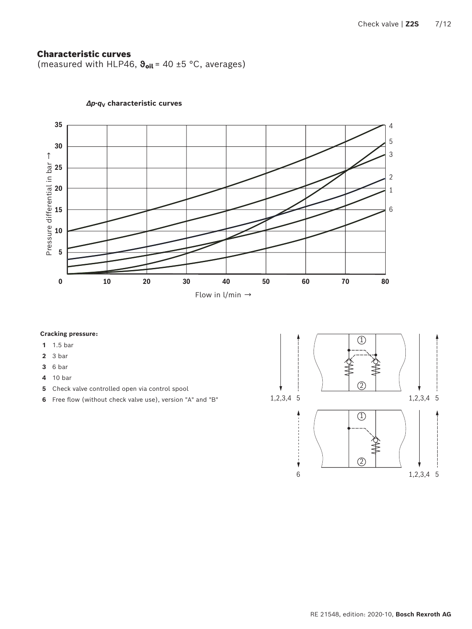## <span id="page-6-1"></span><span id="page-6-0"></span>Characteristic curves

(measured with HLP46, **ϑ**oil = 40 ±5 °C, averages)

![](_page_6_Figure_3.jpeg)

### *∆p***-***q***V characteristic curves**

#### **Cracking pressure:**

- 1.5 bar
- 3 bar
- 6 bar
- 10 bar
- Check valve controlled open via control spool
- Free flow (without check valve use), version "A" and "B"

![](_page_6_Figure_12.jpeg)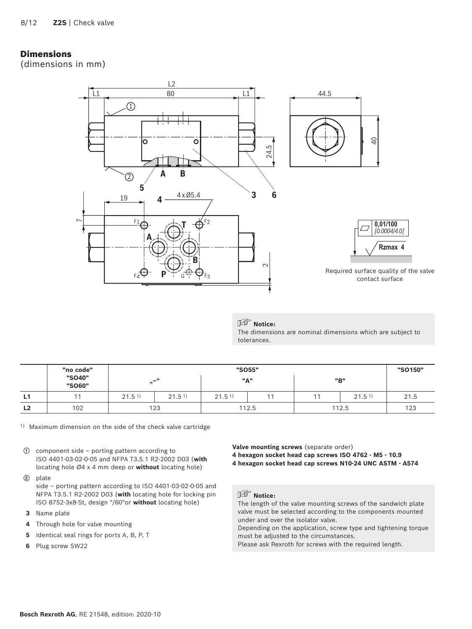## <span id="page-7-0"></span>Dimensions

(dimensions in mm)

![](_page_7_Figure_3.jpeg)

## **Notice:**

The dimensions are nominal dimensions which are subject to tolerances.

|                | "no code"        |                   |                   |                   | "SO55" |                   | "SO150" |
|----------------|------------------|-------------------|-------------------|-------------------|--------|-------------------|---------|
|                | "SO40"<br>"SO60" | "                 | $-$ "             |                   | "A"    | "B"               |         |
| L1             |                  | 21.5 <sup>1</sup> | 21.5 <sup>1</sup> | 21.5 <sup>1</sup> |        | 21.5 <sup>1</sup> | 21.5    |
| L <sub>2</sub> | 102              |                   | 123               |                   | 112.5  | 112.5             | 123     |

1) Maximum dimension on the side of the check valve cartridge

- **①** component side porting pattern according to ISO 4401-03-02-0-05 and NFPA T3.5.1 R2-2002 D03 (**with**  locating hole Ø4 x 4 mm deep or **without** locating hole)
- **②** plate

side – porting pattern according to ISO 4401-03-02-0-05 and NFPA T3.5.1 R2-2002 D03 (**with** locating hole for locking pin ISO 8752-3x8-St, design "/60"or **without** locating hole)

- **3** Name plate
- **4** Through hole for valve mounting
- **5** Identical seal rings for ports A, B, P, T
- **6** Plug screw SW22

**Valve mounting screws** (separate order)

- **4 hexagon socket head cap screws ISO 4762 M5 10.9**
- **4 hexagon socket head cap screws N10-24 UNC ASTM A574**

## **Notice:**

The length of the valve mounting screws of the sandwich plate valve must be selected according to the components mounted under and over the isolator valve.

Depending on the application, screw type and tightening torque must be adjusted to the circumstances.

Please ask Rexroth for screws with the required length.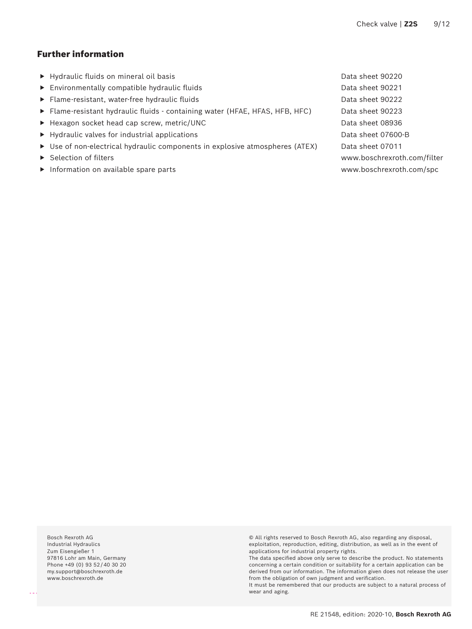# <span id="page-8-0"></span>Further information

- ▶ Hydraulic fluids on mineral oil basis Data sheet 90220
- ▶ Environmentally compatible hydraulic fluids Data sheet 90221
- ▶ Flame-resistant, water-free hydraulic fluids Data sheet 90222
- ▶ Flame-resistant hydraulic fluids containing water (HFAE, HFAS, HFB, HFC) Data sheet 90223
- ▶ Hexagon socket head cap screw, metric/UNC Data sheet 08936
- ▶ Hydraulic valves for industrial applications Data sheet 07600-B
- ▶ Use of non-electrical hydraulic components in explosive atmospheres (ATEX) Data sheet 07011
- 
- ▶ Information on available spare parts www.boschrexroth.com/spc

▶ Selection of filters www.boschrexroth.com/filter

Bosch Rexroth AG Industrial Hydraulics Zum Eisengießer 1 97816 Lohr am Main, Germany Phone +49 (0) 93 52 / 40 30 20 my.support@boschrexroth.de www.boschrexroth.de

© All rights reserved to Bosch Rexroth AG, also regarding any disposal, exploitation, reproduction, editing, distribution, as well as in the event of applications for industrial property rights.

The data specified above only serve to describe the product. No statements concerning a certain condition or suitability for a certain application can be derived from our information. The information given does not release the user from the obligation of own judgment and verification.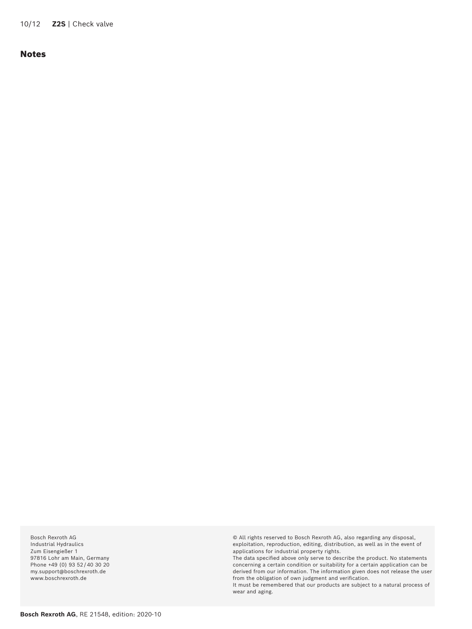<span id="page-9-0"></span>10/12 **Z2S** | Check valve

### Notes

Bosch Rexroth AG Industrial Hydraulics Zum Eisengießer 1 97816 Lohr am Main, Germany Phone +49 (0) 93 52/40 30 20 my.support@boschrexroth.de www.boschrexroth.de

© All rights reserved to Bosch Rexroth AG, also regarding any disposal, exploitation, reproduction, editing, distribution, as well as in the event of applications for industrial property rights.

The data specified above only serve to describe the product. No statements concerning a certain condition or suitability for a certain application can be derived from our information. The information given does not release the user from the obligation of own judgment and verification.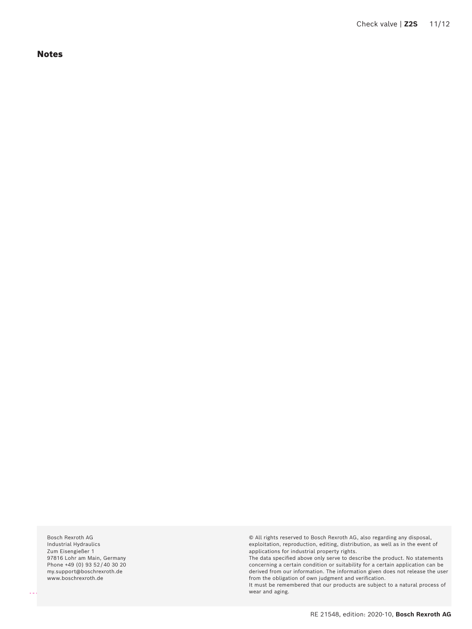<span id="page-10-0"></span>Notes

Bosch Rexroth AG Industrial Hydraulics Zum Eisengießer 1 97816 Lohr am Main, Germany Phone +49 (0) 93 52 / 40 30 20 my.support@boschrexroth.de www.boschrexroth.de

© All rights reserved to Bosch Rexroth AG, also regarding any disposal, exploitation, reproduction, editing, distribution, as well as in the event of applications for industrial property rights.

The data specified above only serve to describe the product. No statements concerning a certain condition or suitability for a certain application can be derived from our information. The information given does not release the user from the obligation of own judgment and verification.